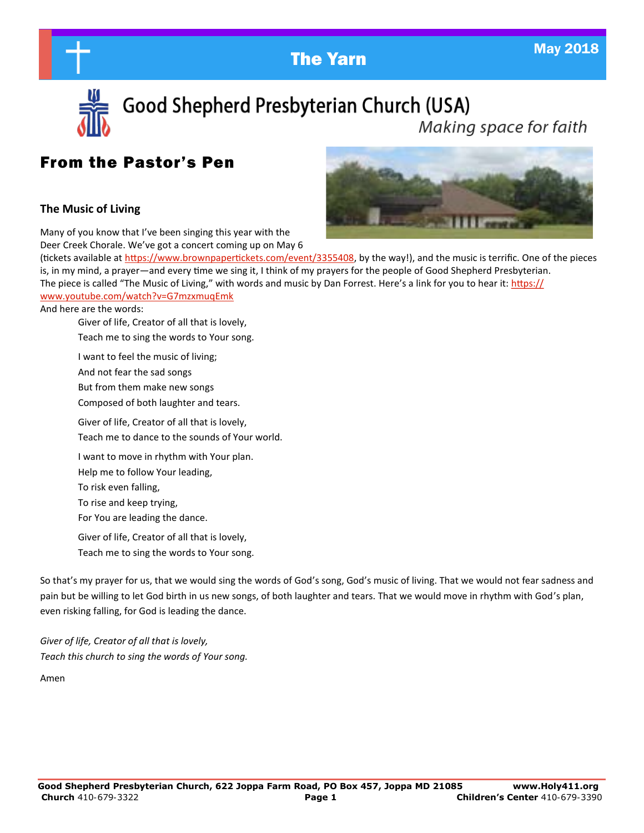The Yarn May 2018



Good Shepherd Presbyterian Church (USA) Making space for faith

# From the Pastor's Pen

#### **The Music of Living**

Many of you know that I've been singing this year with the Deer Creek Chorale. We've got a concert coming up on May 6



(tickets available at [https://www.brownpapertickets.com/event/3355408,](https://www.brownpapertickets.com/event/3355408) by the way!), and the music is terrific. One of the pieces is, in my mind, a prayer—and every time we sing it, I think of my prayers for the people of Good Shepherd Presbyterian. The piece is called "The Music of Living," with words and music by Dan Forrest. Here's a link for you to hear it: [https://](https://www.youtube.com/watch?v=G7mzxmuqEmk)

#### [www.youtube.com/watch?v=G7mzxmuqEmk](https://www.youtube.com/watch?v=G7mzxmuqEmk)

And here are the words:

Giver of life, Creator of all that is lovely, Teach me to sing the words to Your song.

I want to feel the music of living; And not fear the sad songs But from them make new songs Composed of both laughter and tears. Giver of life, Creator of all that is lovely, Teach me to dance to the sounds of Your world. I want to move in rhythm with Your plan. Help me to follow Your leading, To risk even falling, To rise and keep trying, For You are leading the dance.

Giver of life, Creator of all that is lovely, Teach me to sing the words to Your song.

So that's my prayer for us, that we would sing the words of God's song, God's music of living. That we would not fear sadness and pain but be willing to let God birth in us new songs, of both laughter and tears. That we would move in rhythm with God's plan, even risking falling, for God is leading the dance.

*Giver of life, Creator of all that is lovely, Teach this church to sing the words of Your song.* 

Amen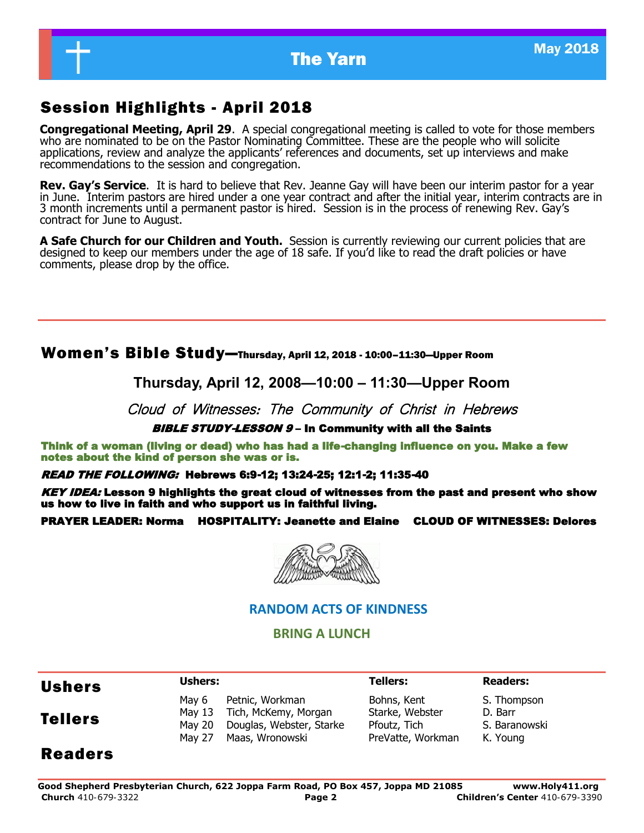

# Session Highlights - April 2018

**Congregational Meeting, April 29**. A special congregational meeting is called to vote for those members who are nominated to be on the Pastor Nominating Committee. These are the people who will solicite applications, review and analyze the applicants' references and documents, set up interviews and make recommendations to the session and congregation.

**Rev. Gay's Service**. It is hard to believe that Rev. Jeanne Gay will have been our interim pastor for a year in June. Interim pastors are hired under a one year contract and after the initial year, interim contracts are in 3 month increments until a permanent pastor is hired. Session is in the process of renewing Rev. Gay's contract for June to August.

**A Safe Church for our Children and Youth.** Session is currently reviewing our current policies that are designed to keep our members under the age of 18 safe. If you'd like to read the draft policies or have comments, please drop by the office.

#### Women's Bible Study—Thursday, April 12, 2018 - 10:00–11:30—Upper Room

**Thursday, April 12, 2008—10:00 – 11:30—Upper Room**

Cloud of Witnesses: The Community of Christ in Hebrews

#### BIBLE STUDY-LESSON 9 - In Community with all the Saints

Think of a woman (living or dead) who has had a life-changing influence on you. Make a few notes about the kind of person she was or is.

#### READ THE FOLLOWING: Hebrews 6:9-12; 13:24-25; 12:1-2; 11:35-40

KEY IDEA: Lesson 9 highlights the great cloud of witnesses from the past and present who show us how to live in faith and who support us in faithful living.

#### PRAYER LEADER: Norma HOSPITALITY: Jeanette and Elaine CLOUD OF WITNESSES: Delores



#### **RANDOM ACTS OF KINDNESS**

#### **BRING A LUNCH**

| <b>Ushers</b>  | Ushers:                             |                                                                                        | <b>Tellers:</b>                                                     | <b>Readers:</b>                                     |  |
|----------------|-------------------------------------|----------------------------------------------------------------------------------------|---------------------------------------------------------------------|-----------------------------------------------------|--|
| <b>Tellers</b> | May 6<br>May 13<br>May 20<br>May 27 | Petnic, Workman<br>Tich, McKemy, Morgan<br>Douglas, Webster, Starke<br>Maas, Wronowski | Bohns, Kent<br>Starke, Webster<br>Pfoutz, Tich<br>PreVatte, Workman | S. Thompson<br>D. Barr<br>S. Baranowski<br>K. Young |  |
| <b>Readers</b> |                                     |                                                                                        |                                                                     |                                                     |  |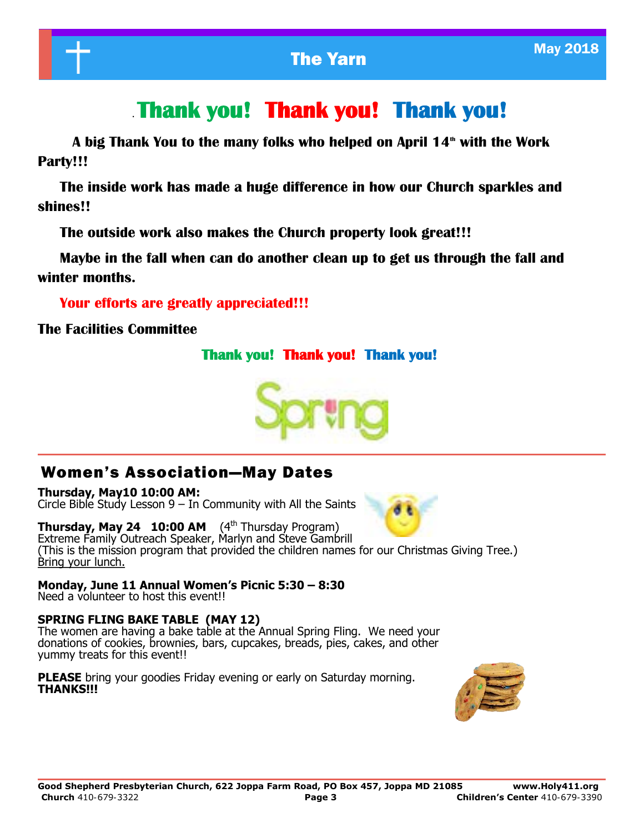# . **Thank you! Thank you! Thank you!**

 **A big Thank You to the many folks who helped on April 14th with the Work Party!!!**

 **The inside work has made a huge difference in how our Church sparkles and shines!!**

 **The outside work also makes the Church property look great!!!**

 **Maybe in the fall when can do another clean up to get us through the fall and winter months.**

 **Your efforts are greatly appreciated!!!**

**The Facilities Committee** 

#### **Thank you! Thank you! Thank you!**



## Women's Association—May Dates

**Thursday, May10 10:00 AM:** Circle Bible Study Lesson  $9 - In$  Community with All the Saints

**Thursday, May 24 10:00 AM** (4<sup>th</sup> Thursday Program) Extreme Family Outreach Speaker, Marlyn and Steve Gambrill (This is the mission program that provided the children names for our Christmas Giving Tree.) Bring your lunch.

**Monday, June 11 Annual Women's Picnic 5:30 – 8:30** Need a volunteer to host this event!!

#### **SPRING FLING BAKE TABLE (MAY 12)**

The women are having a bake table at the Annual Spring Fling. We need your donations of cookies, brownies, bars, cupcakes, breads, pies, cakes, and other yummy treats for this event!!

**PLEASE** bring your goodies Friday evening or early on Saturday morning. **THANKS!!!**

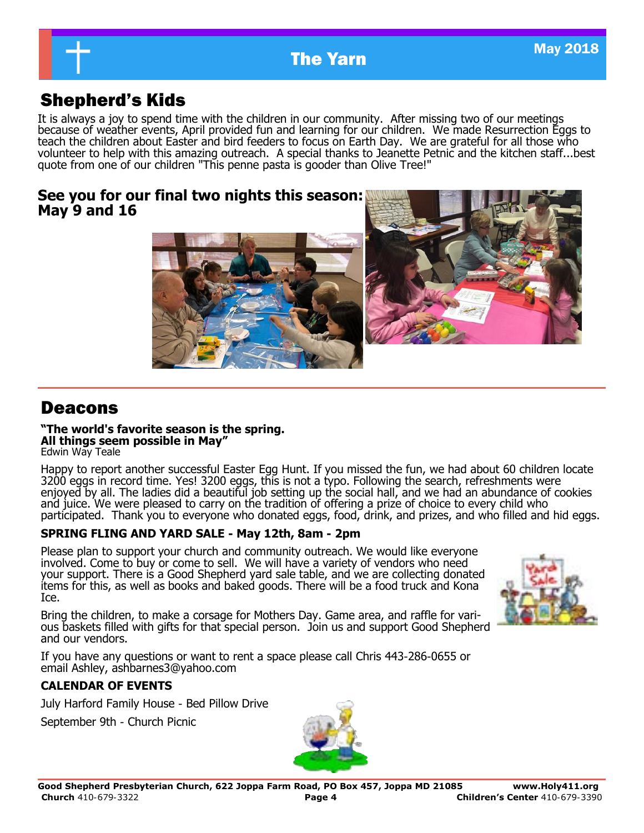

# **The Yarn May 2018**

# Shepherd's Kids

It is always a joy to spend time with the children in our community. After missing two of our meetings because of weather events, April provided fun and learning for our children. We made Resurrection Eggs to teach the children about Easter and bird feeders to focus on Earth Day. We are grateful for all those who volunteer to help with this amazing outreach. A special thanks to Jeanette Petnic and the kitchen staff...best quote from one of our children "This penne pasta is gooder than Olive Tree!"

#### **See you for our final two nights this season: May 9 and 16**





# Deacons

#### **"The world's favorite season is the spring. All things seem possible in May"**

Edwin Way Teale

Happy to report another successful Easter Egg Hunt. If you missed the fun, we had about 60 children locate 3200 eggs in record time. Yes! 3200 eggs, this is not a typo. Following the search, refreshments were enjoyed by all. The ladies did a beautiful job setting up the social hall, and we had an abundance of cookies and juice. We were pleased to carry on the tradition of offering a prize of choice to every child who participated. Thank you to everyone who donated eggs, food, drink, and prizes, and who filled and hid eggs.

#### **SPRING FLING AND YARD SALE - May 12th, 8am - 2pm**

Please plan to support your church and community outreach. We would like everyone involved. Come to buy or come to sell. We will have a variety of vendors who need your support. There is a Good Shepherd yard sale table, and we are collecting donated items for this, as well as books and baked goods. There will be a food truck and Kona Ice.

Bring the children, to make a corsage for Mothers Day. Game area, and raffle for various baskets filled with gifts for that special person. Join us and support Good Shepherd and our vendors.

If you have any questions or want to rent a space please call Chris 443-286-0655 or email Ashley, ashbarnes3@yahoo.com

#### **CALENDAR OF EVENTS**

July Harford Family House - Bed Pillow Drive

September 9th - Church Picnic



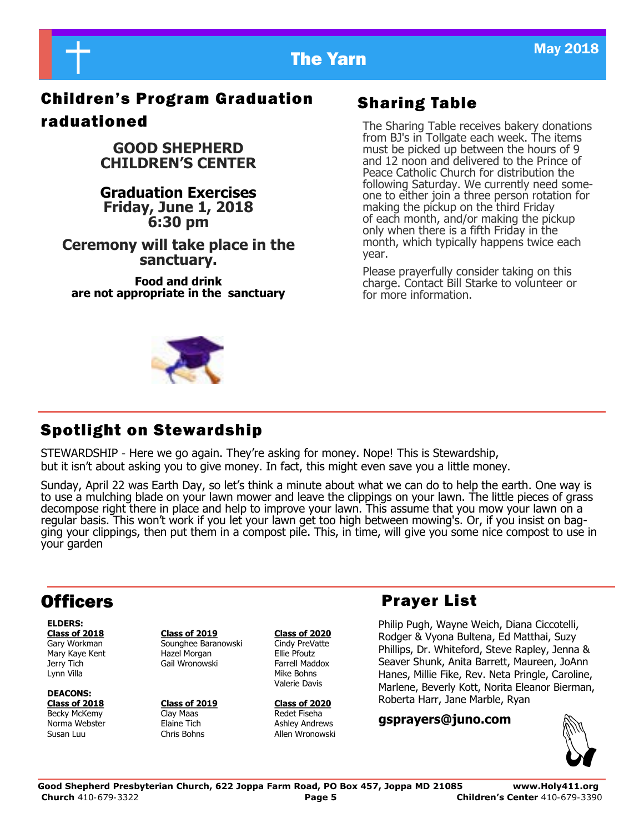

# Children's Program Graduation raduationed

**GOOD SHEPHERD CHILDREN'S CENTER**

**Graduation Exercises Friday, June 1, 2018 6:30 pm**

**Ceremony will take place in the sanctuary.**

**Food and drink are not appropriate in the sanctuary**

# Sharing Table

The Sharing Table receives bakery donations from BJ's in Tollgate each week. The items must be picked up between the hours of 9 and 12 noon and delivered to the Prince of Peace Catholic Church for distribution the following Saturday. We currently need someone to either join a three person rotation for making the pickup on the third Friday of each month, and/or making the pickup only when there is a fifth Friday in the month, which typically happens twice each year.

Please prayerfully consider taking on this charge. Contact Bill Starke to volunteer or for more information.

# Spotlight on Stewardship

STEWARDSHIP - Here we go again. They're asking for money. Nope! This is Stewardship, but it isn't about asking you to give money. In fact, this might even save you a little money.

Sunday, April 22 was Earth Day, so let's think a minute about what we can do to help the earth. One way is to use a mulching blade on your lawn mower and leave the clippings on your lawn. The little pieces of grass decompose right there in place and help to improve your lawn. This assume that you mow your lawn on a regular basis. This won't work if you let your lawn get too high between mowing's. Or, if you insist on bagging your clippings, then put them in a compost pile. This, in time, will give you some nice compost to use in your garden

# **Officers**

**ELDERS:** Lynn Villa **Mike Bohns** Mike Bohns

**DEACONS: Class of 2018 Class of 2019 Class of 2020** Becky McKemy **Clay Maas Redet Fiseha** 

**Class of 2018 Class of 2019 Class of 2020** Gary Workman Sounghee Baranowski Cindy PreVatte Mary Kaye Kent **Hazel Morgan** Ellie Pfoutz Jerry Tich Gail Wronowski Farrell Maddox

Valerie Davis

Norma Webster Elaine Tich Ashley Andrews Allen Wronowski

## Prayer List

Philip Pugh, Wayne Weich, Diana Ciccotelli, Rodger & Vyona Bultena, Ed Matthai, Suzy Phillips, Dr. Whiteford, Steve Rapley, Jenna & Seaver Shunk, Anita Barrett, Maureen, JoAnn Hanes, Millie Fike, Rev. Neta Pringle, Caroline, Marlene, Beverly Kott, Norita Eleanor Bierman, Roberta Harr, Jane Marble, Ryan

**gsprayers@juno.com**

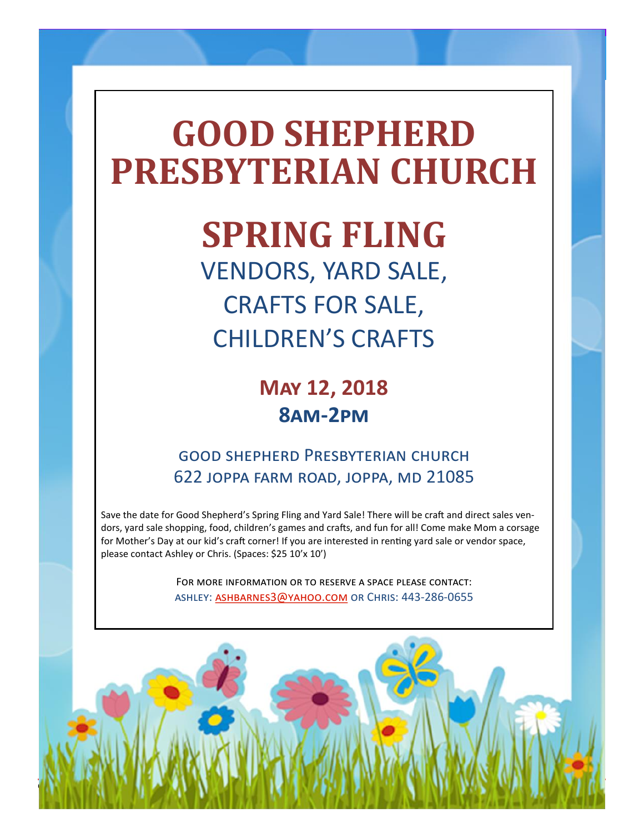# **GOOD SHEPHERD PRESBYTERIAN CHURCH**

The Yarn May 2018 (1989) and the Yarn May 2018

**SPRING FLING**

VENDORS, YARD SALE, CRAFTS FOR SALE, CHILDREN'S CRAFTS

> **May 12, 2018 8am-2pm**

good shepherd Presbyterian church 622 joppa farm road, joppa, md 21085

Save the date for Good Shepherd's Spring Fling and Yard Sale! There will be craft and direct sales vendors, yard sale shopping, food, children's games and crafts, and fun for all! Come make Mom a corsage for Mother's Day at our kid's craft corner! If you are interested in renting yard sale or vendor space, please contact Ashley or Chris. (Spaces: \$25 10'x 10')

> For more information or to reserve a space please contact: ashley: [ashbarnes3@yahoo.com](mailto:ashbarnes3@yahoo.com) or Chris: 443-286-0655